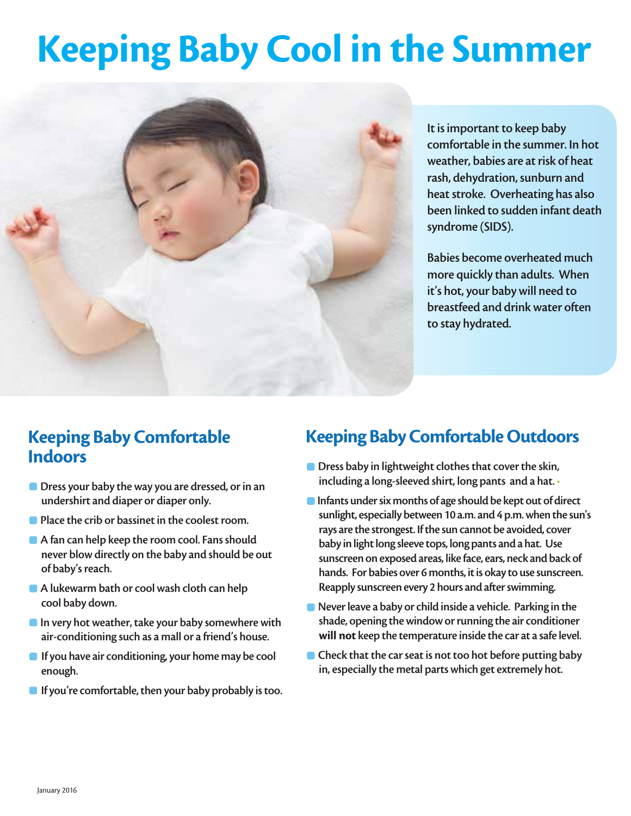# Keeping Baby Cool in the Summer



It is important to keep baby comfortable in the summer. In hot weather, babies are at risk of heat rash, dehydration, sunburn and heat stroke. Overheating has also been linked to sudden infant death syndrome (SIDS).

Babies become overheated much more quickly than adults. When it's hot, your baby will need to breastfeed and drink water often to stay hydrated.

#### Keeping Baby Comfortable Indoors

- **Dress your baby the way you are dressed, or in an** undershirt and diaper or diaper only.
- **Place the crib or bassinet in the coolest room.**
- A fan can help keep the room cool. Fans should never blow directly on the baby and should be out of baby's reach.
- A lukewarm bath or cool wash cloth can help cool baby down.
- **•** In very hot weather, take your baby somewhere with air-conditioning such as a mall or a friend's house.
- **If you have air conditioning, your home may be cool** enough.
- $\blacksquare$  If you're comfortable, then your baby probably is too.

## Keeping Baby Comfortable Outdoors

- **Dress baby in lightweight clothes that cover the skin,** including a long-sleeved shirt, long pants and a hat. •
- **Infants under six months of age should be kept out of direct** sunlight, especially between 10 a.m. and 4 p.m. when the sun's rays are the strongest. If the sun cannot be avoided, cover baby in light long sleeve tops, long pants and a hat. Use sunscreen on exposed areas, like face, ears, neck and back of hands. For babies over 6 months, it is okay to use sunscreen. Reapply sunscreen every 2 hours and after swimming.
- **Never leave a baby or child inside a vehicle. Parking in the** shade, opening the window or running the air conditioner will not keep the temperature inside the car at a safe level.
- **Check that the car seat is not too hot before putting baby** in, especially the metal parts which get extremely hot.